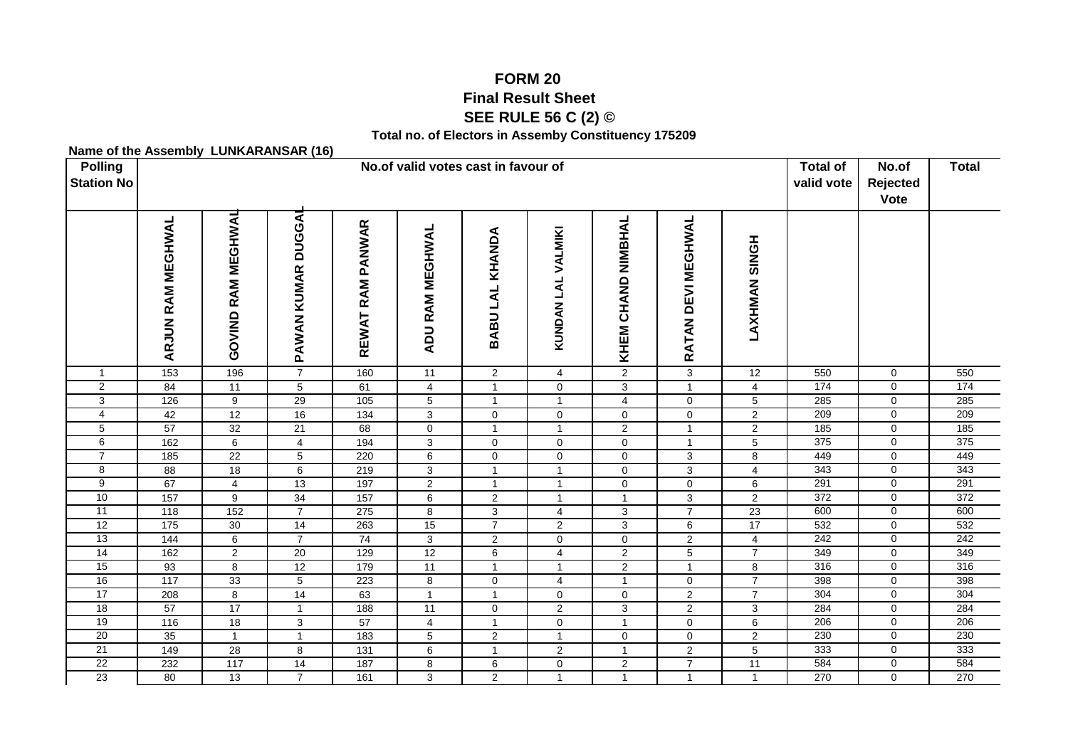## **FORM 20 Final Result SheetSEE RULE 56 C (2) ©**

**Total no. of Electors in Assemby Constituency 175209**

**Name of the Assembly LUNKARANSAR (16)**

| <b>Name of the Assembly LongANANOAN</b> (19)<br><b>Polling</b><br><b>Station No</b> |                          |                       | <b>Total of</b><br>valid vote      | No.of<br>Rejected<br>Vote | <b>Total</b>           |                 |                         |                       |                       |                  |     |                     |     |
|-------------------------------------------------------------------------------------|--------------------------|-----------------------|------------------------------------|---------------------------|------------------------|-----------------|-------------------------|-----------------------|-----------------------|------------------|-----|---------------------|-----|
|                                                                                     | <b>ARJUN RAM MEGHWAL</b> | RAM MEGHWAL<br>GOVIND | <b>DUGGA</b><br><b>PAWAN KUMAR</b> | REWAT RAM PANWAR          | <b>ADU RAM MEGHWAL</b> | BABU LAL KHANDA | KUNDAN LAL VALMIKI      | CHAND NIMBHAL<br>KHEM | DEVI MEGHWAL<br>RATAN | HONIS<br>LAXHMAN |     |                     |     |
| $\mathbf{1}$                                                                        | 153                      | 196                   | $\overline{7}$                     | 160                       | 11                     | $\overline{2}$  | $\overline{4}$          | 2                     | 3                     | 12               | 550 | $\mathbf 0$         | 550 |
| $\overline{2}$                                                                      | 84                       | 11                    | 5                                  | 61                        | 4                      | $\mathbf{1}$    | 0                       | 3                     | $\mathbf{1}$          | $\overline{4}$   | 174 | $\mathsf{O}\xspace$ | 174 |
| 3                                                                                   | 126                      | 9                     | $\overline{29}$                    | $\frac{105}{2}$           | $\overline{5}$         | $\mathbf{1}$    | $\overline{1}$          | $\overline{4}$        | $\mathbf{0}$          | $\overline{5}$   | 285 | $\mathbf 0$         | 285 |
| 4                                                                                   | 42                       | $\overline{12}$       | 16                                 | $\overline{134}$          | $\mathbf{3}$           | $\mathbf 0$     | $\mathbf 0$             | $\mathbf 0$           | $\mathbf 0$           | $\overline{c}$   | 209 | $\mathbf 0$         | 209 |
| 5                                                                                   | $\overline{57}$          | 32                    | 21                                 | 68                        | $\mathsf{O}\xspace$    | $\mathbf{1}$    | $\overline{1}$          | 2                     | $\mathbf{1}$          | $\overline{2}$   | 185 | $\mathbf 0$         | 185 |
| 6                                                                                   | 162                      | 6                     | $\overline{4}$                     | 194                       | 3                      | 0               | 0                       | $\mathbf 0$           | $\mathbf{1}$          | 5                | 375 | 0                   | 375 |
| $\overline{7}$                                                                      | 185                      | $\overline{22}$       | 5                                  | 220                       | 6                      | 0               | $\mathbf 0$             | $\mathbf 0$           | 3                     | 8                | 449 | 0                   | 449 |
| 8                                                                                   | $\overline{88}$          | 18                    | 6                                  | 219                       | 3                      | $\mathbf{1}$    | $\overline{1}$          | $\mathbf 0$           | 3                     | 4                | 343 | 0                   | 343 |
| $\overline{9}$                                                                      | 67                       | $\overline{4}$        | 13                                 | 197                       | $\overline{2}$         | $\mathbf{1}$    | $\mathbf{1}$            | $\mathbf 0$           | $\mathbf 0$           | 6                | 291 | $\overline{0}$      | 291 |
| 10                                                                                  | $\frac{157}{157}$        | 9                     | 34                                 | 157                       | 6                      | $\overline{2}$  | $\mathbf{1}$            | $\mathbf{1}$          | 3                     | $\overline{2}$   | 372 | $\mathbf 0$         | 372 |
| 11                                                                                  | 118                      | $\overline{152}$      | $\overline{7}$                     | 275                       | $\bf 8$                | $\mathbf{3}$    | 4                       | $\mathbf{3}$          | $\overline{7}$        | $\overline{23}$  | 600 | $\overline{0}$      | 600 |
| 12                                                                                  | 175                      | 30                    | 14                                 | 263                       | 15                     | $\overline{7}$  | $\overline{\mathbf{c}}$ | 3                     | 6                     | 17               | 532 | $\mathbf 0$         | 532 |
| 13                                                                                  | 144                      | 6                     | $\overline{7}$                     | $\overline{74}$           | 3                      | $\overline{2}$  | $\mathbf 0$             | 0                     | $\overline{2}$        | 4                | 242 | $\mathbf 0$         | 242 |
| 14                                                                                  | 162                      | $\overline{2}$        | $\overline{20}$                    | 129                       | 12                     | 6               | $\overline{4}$          | 2                     | 5                     | $\overline{7}$   | 349 | $\mathbf 0$         | 349 |
| 15                                                                                  | 93                       | 8                     | 12                                 | 179                       | 11                     | $\mathbf{1}$    | $\mathbf 1$             | $\overline{2}$        | $\overline{1}$        | 8                | 316 | $\mathbf 0$         | 316 |
| 16                                                                                  | 117                      | 33                    | $\overline{5}$                     | 223                       | 8                      | $\mathbf 0$     | 4                       | $\mathbf{1}$          | $\mathbf 0$           | $\overline{7}$   | 398 | 0                   | 398 |
| 17                                                                                  | 208                      | 8                     | 14                                 | 63                        | $\mathbf{1}$           | $\mathbf{1}$    | 0                       | $\mathbf 0$           | $\overline{c}$        | $\overline{7}$   | 304 | 0                   | 304 |
| 18                                                                                  | 57                       | $\overline{17}$       | $\overline{1}$                     | 188                       | 11                     | 0               | $\overline{2}$          | $\mathbf{3}$          | $\overline{2}$        | 3                | 284 | $\overline{0}$      | 284 |
| 19                                                                                  | $\frac{116}{116}$        | $\overline{18}$       | 3                                  | 57                        | 4                      | $\mathbf{1}$    | $\mathbf 0$             | $\mathbf{1}$          | $\mathbf 0$           | 6                | 206 | $\mathsf{O}\xspace$ | 206 |
| 20                                                                                  | $\overline{35}$          | $\mathbf{1}$          | $\overline{1}$                     | 183                       | 5                      | $\mathbf 2$     | $\overline{1}$          | $\pmb{0}$             | $\mathbf 0$           | $\overline{2}$   | 230 | $\mathsf 0$         | 230 |
| 21                                                                                  | 149                      | 28                    | $\bf8$                             | $\overline{131}$          | $\overline{6}$         | $\mathbf{1}$    | $\sqrt{2}$              | $\overline{1}$        | $\overline{2}$        | $\overline{5}$   | 333 | $\mathsf{O}\xspace$ | 333 |
| 22                                                                                  | 232                      | 117                   | 14                                 | 187                       | 8                      | 6               | $\mathbf 0$             | $\overline{2}$        | $\overline{7}$        | 11               | 584 | $\overline{0}$      | 584 |
| $\overline{23}$                                                                     | 80                       | 13                    | $\overline{7}$                     | 161                       | 3                      | $\overline{2}$  | $\overline{1}$          | $\mathbf{1}$          | $\mathbf{1}$          | $\mathbf{1}$     | 270 | $\mathbf 0$         | 270 |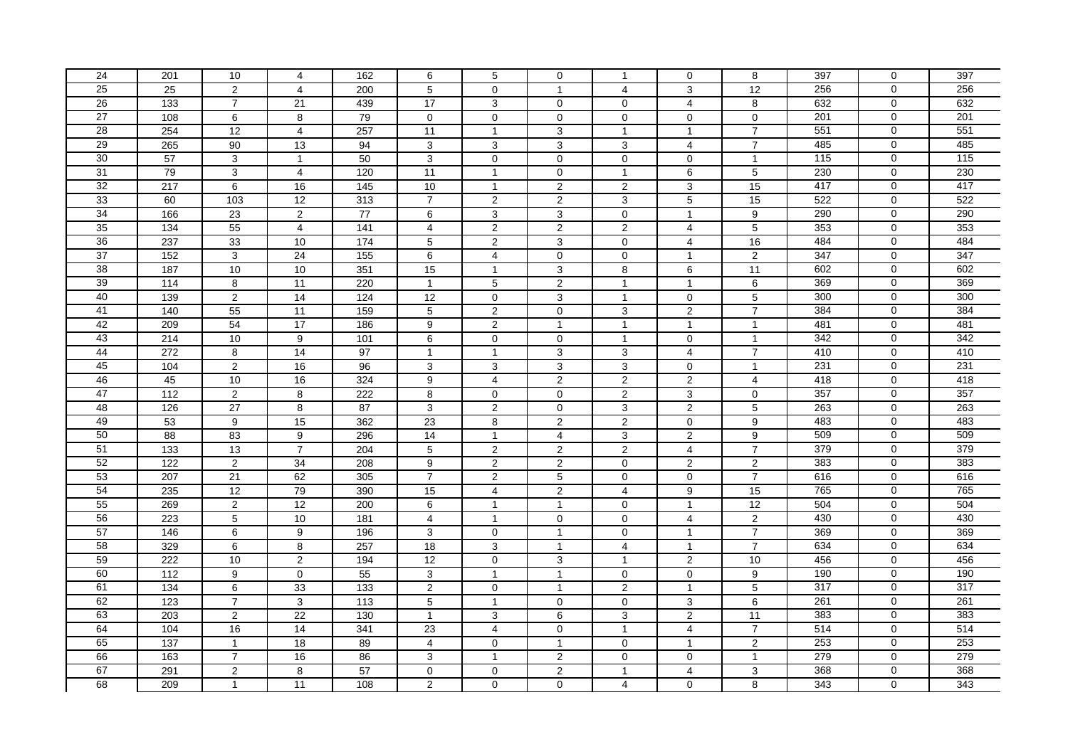| 24              | 201              | 10              | 4               | 162             | 6               | 5              | $\mathbf 0$             | -1             | $\mathbf 0$             | 8              | 397 | 0              | 397 |
|-----------------|------------------|-----------------|-----------------|-----------------|-----------------|----------------|-------------------------|----------------|-------------------------|----------------|-----|----------------|-----|
| 25              | $\overline{25}$  | $\overline{2}$  | $\overline{4}$  | 200             | 5               | $\mathbf 0$    | $\overline{1}$          | 4              | 3                       | 12             | 256 | $\mathbf 0$    | 256 |
| $\overline{26}$ | 133              | $\overline{7}$  | 21              | 439             | 17              | 3              | $\mathbf 0$             | $\mathbf 0$    | $\overline{4}$          | 8              | 632 | 0              | 632 |
| 27              | 108              | 6               | 8               | 79              | $\mathbf 0$     | $\mathbf 0$    | $\mathbf 0$             | $\mathbf 0$    | 0                       | $\mathbf 0$    | 201 | $\Omega$       | 201 |
| 28              | 254              | 12              | $\overline{4}$  | 257             | 11              | $\mathbf{1}$   | 3                       | $\mathbf{1}$   | $\mathbf{1}$            | $\overline{7}$ | 551 | 0              | 551 |
| 29              | 265              | 90              | 13              | 94              | 3               | 3              | 3                       | 3              | 4                       | $\overline{7}$ | 485 | 0              | 485 |
| 30              | 57               | 3               | $\mathbf{1}$    | 50              | 3               | $\mathbf 0$    | $\mathbf 0$             | $\mathbf 0$    | 0                       | $\mathbf{1}$   | 115 | 0              | 115 |
| 31              | 79               | $\overline{3}$  | $\overline{4}$  | 120             | 11              | $\mathbf{1}$   | $\mathbf 0$             | $\mathbf{1}$   | $6\overline{6}$         | $\overline{5}$ | 230 | 0              | 230 |
| 32              | 217              | 6               | 16              | 145             | 10              | $\mathbf{1}$   | $\overline{2}$          | $\overline{c}$ | $\overline{3}$          | 15             | 417 | 0              | 417 |
| 33              | 60               | 103             | 12              | 313             | $\overline{7}$  | 2              | 2                       | 3              | 5                       | 15             | 522 | 0              | 522 |
| 34              | 166              | 23              | $\overline{2}$  | $\overline{77}$ | 6               | 3              | $\mathbf{3}$            | $\mathbf{0}$   | $\mathbf{1}$            | 9              | 290 | 0              | 290 |
| 35              | 134              | 55              | $\overline{4}$  | 141             | $\overline{4}$  | $\overline{2}$ | 2                       | 2              | 4                       | $\sqrt{5}$     | 353 | 0              | 353 |
| 36              | 237              | 33              | 10              | $\frac{1}{174}$ | $\overline{5}$  | $\mathbf{2}$   | 3                       | $\mathbf 0$    | $\overline{4}$          | 16             | 484 | 0              | 484 |
| 37              | 152              | 3               | 24              | 155             | 6               | $\overline{4}$ | $\pmb{0}$               | $\mathbf 0$    | $\mathbf{1}$            | $\overline{2}$ | 347 | 0              | 347 |
| 38              | 187              | 10              | 10              | 351             | 15              | $\mathbf{1}$   | 3                       | 8              | 6                       | 11             | 602 | 0              | 602 |
| $\overline{39}$ | 114              | 8               | 11              | 220             | $\overline{1}$  | 5              | $\overline{2}$          | $\overline{1}$ | 1                       | 6              | 369 | $\overline{0}$ | 369 |
| 40              | 139              | 2               | 14              | 124             | 12              | $\mathbf 0$    | 3                       | $\mathbf{1}$   | $\overline{0}$          | $\overline{5}$ | 300 | 0              | 300 |
| 41              | 140              | 55              | 11              | 159             | 5               | $\overline{2}$ | $\mathbf 0$             | 3              | $\overline{2}$          | $\overline{7}$ | 384 | 0              | 384 |
| 42              | 209              | 54              | 17              | 186             | 9               | $\overline{2}$ | $\overline{1}$          | $\overline{1}$ | 1                       | $\mathbf{1}$   | 481 | 0              | 481 |
| 43              | 214              | 10              | 9               | 101             | 6               | $\mathbf 0$    | $\mathbf 0$             | $\mathbf{1}$   | $\overline{0}$          | $\mathbf{1}$   | 342 | 0              | 342 |
| 44              | 272              | 8               | $\overline{14}$ | $\overline{97}$ | $\overline{1}$  | $\mathbf{1}$   | 3                       | 3              | 4                       | $\overline{7}$ | 410 | 0              | 410 |
| 45              | 104              | $\overline{2}$  | 16              | 96              | 3               | 3              | 3                       | 3              | $\mathbf{0}$            | $\mathbf{1}$   | 231 | 0              | 231 |
| 46              | 45               | 10              | 16              | 324             | 9               | $\overline{4}$ | $\boldsymbol{2}$        | $\overline{c}$ | $\overline{\mathbf{c}}$ | $\overline{4}$ | 418 | 0              | 418 |
| 47              | 112              | $\overline{2}$  | 8               | 222             | 8               | $\mathbf 0$    | $\mathbf 0$             | $\overline{2}$ | $\overline{3}$          | $\mathbf 0$    | 357 | 0              | 357 |
| 48              | 126              | 27              | $\overline{8}$  | 87              | 3               | $\overline{2}$ | $\boldsymbol{0}$        | 3              | $\overline{2}$          | $\overline{5}$ | 263 | $\overline{0}$ | 263 |
| 49              | 53               | 9               | 15              | 362             | 23              | 8              | $\boldsymbol{2}$        | $\overline{2}$ | 0                       | 9              | 483 | 0              | 483 |
| 50              | 88               | 83              | 9               | 296             | 14              | $\mathbf{1}$   | $\overline{4}$          | 3              | $\overline{2}$          | 9              | 509 | $\mathbf 0$    | 509 |
| 51              | $\overline{133}$ | $\overline{13}$ | $\overline{7}$  | 204             | $\overline{5}$  | $\overline{2}$ | $\overline{c}$          | 2              | $\overline{4}$          | $\overline{7}$ | 379 | 0              | 379 |
| 52              | 122              | $\sqrt{2}$      | 34              | 208             | 9               | $\overline{c}$ | $\overline{\mathbf{c}}$ | $\mathbf 0$    | $\overline{c}$          | $\sqrt{2}$     | 383 | 0              | 383 |
| 53              | 207              | 21              | 62              | 305             | $\overline{7}$  | 2              | 5                       | $\Omega$       | 0                       | $\overline{7}$ | 616 | 0              | 616 |
| 54              | 235              | 12              | 79              | 390             | 15              | 4              | $\overline{c}$          | $\overline{4}$ | 9                       | 15             | 765 | 0              | 765 |
| 55              | 269              | $\overline{2}$  | 12              | 200             | 6               | $\mathbf{1}$   | $\overline{1}$          | $\mathbf 0$    | $\mathbf{1}$            | 12             | 504 | 0              | 504 |
| 56              | 223              | $\overline{5}$  | 10              | 181             | $\overline{4}$  | $\mathbf{1}$   | $\mathbf 0$             | $\mathbf 0$    | 4                       | $\overline{2}$ | 430 | 0              | 430 |
| 57              | 146              | 6               | 9               | 196             | 3               | $\mathbf 0$    | $\overline{1}$          | $\mathsf{O}$   | $\mathbf{1}$            | $\overline{7}$ | 369 | 0              | 369 |
| 58              | 329              | 6               | 8               | 257             | 18              | 3              | $\mathbf{1}$            | 4              | $\mathbf{1}$            | $\overline{7}$ | 634 | 0              | 634 |
| 59              | 222              | 10              | $\overline{2}$  | 194             | 12              | $\mathbf 0$    | 3                       | $\overline{1}$ | $\overline{2}$          | 10             | 456 | 0              | 456 |
| 60              | 112              | 9               | $\mathbf 0$     | 55              | 3               | $\mathbf{1}$   | $\overline{1}$          | $\mathbf 0$    | 0                       | 9              | 190 | 0              | 190 |
| 61              | 134              | 6               | 33              | 133             | $\overline{2}$  | $\mathbf 0$    | $\overline{1}$          | 2              | $\mathbf{1}$            | 5              | 317 | 0              | 317 |
| 62              | 123              | $\overline{7}$  | 3               | 113             | $\overline{5}$  | $\mathbf{1}$   | $\mathbf 0$             | $\mathbf 0$    | 3                       | $\,6\,$        | 261 | $\mathbf 0$    | 261 |
| 63              | 203              | 2               | 22              | 130             | $\overline{1}$  | 3              | 6                       | 3              | $\overline{2}$          | 11             | 383 | 0              | 383 |
| 64              | 104              | 16              | $\overline{14}$ | 341             | $\overline{23}$ | 4              | $\mathbf 0$             | $\mathbf{1}$   | 4                       | $\overline{7}$ | 514 | 0              | 514 |
| 65              | 137              | $\overline{1}$  | 18              | 89              | $\overline{4}$  | $\mathbf 0$    | $\overline{1}$          | $\Omega$       | $\mathbf{1}$            | $\overline{2}$ | 253 | 0              | 253 |
| 66              | 163              | $\overline{7}$  | 16              | 86              | 3               | $\mathbf{1}$   | $\overline{2}$          | $\mathbf 0$    | $\overline{0}$          | $\mathbf{1}$   | 279 | 0              | 279 |
| 67              | 291              | $\overline{2}$  | 8               | 57              | 0               | $\mathbf 0$    | $\overline{2}$          | $\mathbf{1}$   | 4                       | 3              | 368 | 0              | 368 |
| 68              | 209              | $\overline{1}$  | 11              | 108             | 2               | $\mathbf{0}$   | $\mathbf 0$             | 4              | $\overline{0}$          | 8              | 343 | $\Omega$       | 343 |
|                 |                  |                 |                 |                 |                 |                |                         |                |                         |                |     |                |     |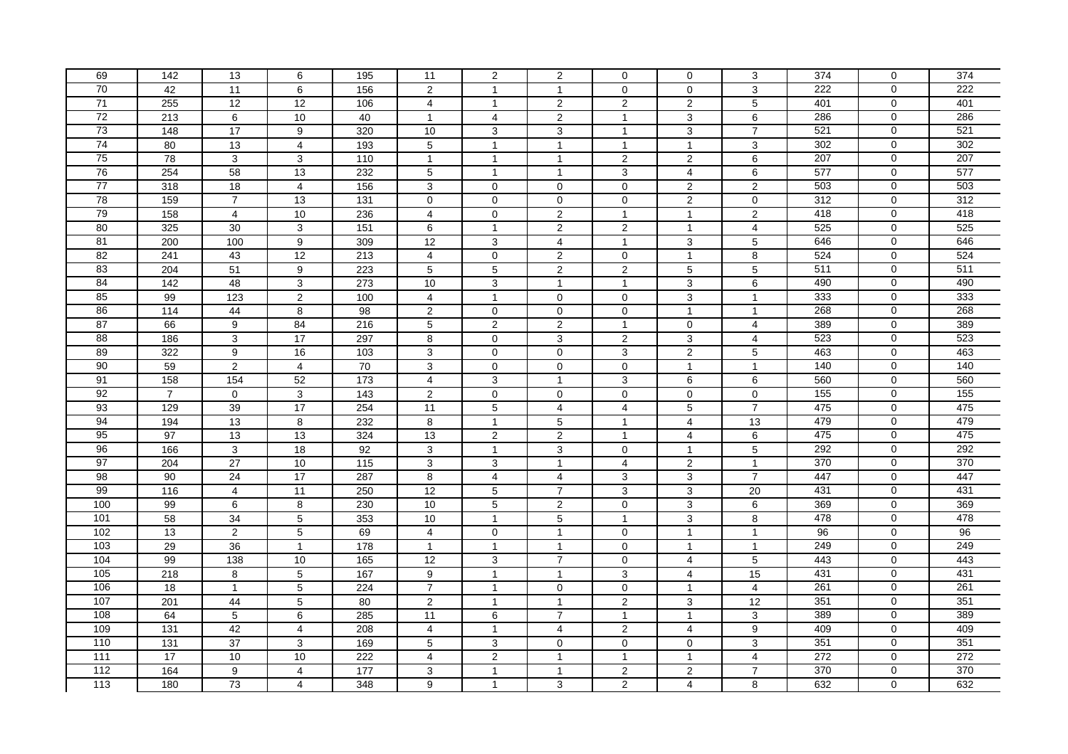| 69              | 142              | 13               | 6                | 195               | 11               | 2                   | 2                | $\mathbf 0$             | $\mathbf 0$             | 3              | 374 | $\mathbf 0$    | 374 |
|-----------------|------------------|------------------|------------------|-------------------|------------------|---------------------|------------------|-------------------------|-------------------------|----------------|-----|----------------|-----|
| 70              | 42               | 11               | 6                | 156               | 2                | $\mathbf{1}$        | $\mathbf{1}$     | $\Omega$                | $\mathbf 0$             | $\overline{3}$ | 222 | 0              | 222 |
| 71              | 255              | $\overline{12}$  | 12               | 106               | 4                | $\mathbf{1}$        | $\sqrt{2}$       | $\overline{c}$          | $\overline{c}$          | $\,$ 5 $\,$    | 401 | 0              | 401 |
| 72              | 213              | 6                | 10               | 40                | $\mathbf{1}$     | $\overline{4}$      | 2                | $\mathbf{1}$            | 3                       | 6              | 286 | 0              | 286 |
| 73              | 148              | 17               | 9                | 320               | 10               | 3                   | 3                | $\mathbf{1}$            | 3                       | $\overline{7}$ | 521 | 0              | 521 |
| 74              | 80               | 13               | $\overline{4}$   | 193               | 5                | $\mathbf{1}$        | $\mathbf{1}$     | $\mathbf{1}$            | $\mathbf{1}$            | $\mathbf{3}$   | 302 | 0              | 302 |
| 75              | 78               | 3                | 3                | 110               | $\overline{1}$   | $\mathbf{1}$        | $\mathbf{1}$     | $\overline{2}$          | $\overline{2}$          | $\overline{6}$ | 207 | $\mathbf 0$    | 207 |
| 76              | 254              | 58               | 13               | 232               | $\overline{5}$   | $\mathbf{1}$        | $\mathbf{1}$     | 3                       | $\overline{\mathbf{4}}$ | 6              | 577 | $\overline{0}$ | 577 |
| $\overline{77}$ | 318              | 18               | $\overline{4}$   | 156               | 3                | $\mathbf 0$         | $\mathbf 0$      | $\mathbf 0$             | $\overline{2}$          | 2              | 503 | 0              | 503 |
| 78              | 159              | $\overline{7}$   | 13               | 131               | $\mathbf 0$      | $\mathbf 0$         | $\mathbf 0$      | $\mathbf 0$             | $\overline{2}$          | $\mathbf 0$    | 312 | 0              | 312 |
| 79              | 158              | $\overline{4}$   | 10               | 236               | $\overline{4}$   | $\mathbf 0$         | $\sqrt{2}$       | $\overline{1}$          | $\mathbf{1}$            | $\sqrt{2}$     | 418 | $\mathbf 0$    | 418 |
| 80              | 325              | 30               | 3                | $\frac{151}{151}$ | 6                | $\mathbf{1}$        | $\boldsymbol{2}$ | $\overline{\mathbf{c}}$ | $\mathbf{1}$            | $\overline{4}$ | 525 | 0              | 525 |
| 81              | 200              | 100              | 9                | 309               | $\overline{12}$  | $\mathbf{3}$        | $\overline{4}$   | $\overline{1}$          | 3                       | $\sqrt{5}$     | 646 | 0              | 646 |
| 82              | 241              | 43               | 12               | 213               | $\overline{4}$   | $\mathbf 0$         | $\sqrt{2}$       | $\Omega$                | $\mathbf{1}$            | $\bf 8$        | 524 | $\mathbf 0$    | 524 |
| 83              | 204              | 51               | $\boldsymbol{9}$ | 223               | 5                | $\sqrt{5}$          | 2                | $\overline{c}$          | 5                       | $\overline{5}$ | 511 | 0              | 511 |
| 84              | 142              | 48               | 3                | 273               | 10               | $\overline{3}$      | $\mathbf{1}$     | $\mathbf{1}$            | 3                       | $\,6\,$        | 490 | 0              | 490 |
| 85              | 99               | 123              | $\overline{2}$   | 100               | $\overline{4}$   | $\mathbf{1}$        | $\pmb{0}$        | $\mathbf 0$             | 3                       | $\mathbf{1}$   | 333 | 0              | 333 |
| 86              | 114              | 44               | 8                | 98                | $\overline{2}$   | $\mathbf 0$         | $\mathbf 0$      | $\mathbf 0$             | $\mathbf{1}$            | $\mathbf{1}$   | 268 | 0              | 268 |
| 87              | 66               | $\boldsymbol{9}$ | 84               | 216               | 5                | $\overline{2}$      | $\overline{2}$   | $\overline{1}$          | $\mathbf{0}$            | $\overline{4}$ | 389 | 0              | 389 |
| $\overline{88}$ | 186              | $\mathsf 3$      | 17               | 297               | 8                | $\mathbf 0$         | 3                | $\overline{2}$          | 3                       | $\overline{4}$ | 523 | 0              | 523 |
| 89              | 322              | 9                | 16               | 103               | 3                | $\mathsf{O}\xspace$ | $\pmb{0}$        | 3                       | $\overline{c}$          | $\sqrt{5}$     | 463 | $\mathbf 0$    | 463 |
| 90              | 59               | $\overline{2}$   | $\overline{4}$   | 70                | 3                | $\mathbf{0}$        | $\mathbf 0$      | $\mathbf 0$             | $\mathbf{1}$            | $\mathbf{1}$   | 140 | 0              | 140 |
| 91              | 158              | 154              | 52               | 173               | $\overline{4}$   | $\overline{3}$      | $\mathbf{1}$     | 3                       | $6\overline{6}$         | $\overline{6}$ | 560 | 0              | 560 |
| 92              | $\overline{7}$   | $\mathbf 0$      | 3                | $\frac{143}{2}$   | $\overline{c}$   | $\mathsf{O}\xspace$ | $\pmb{0}$        | $\mathbf 0$             | 0                       | $\mathbf 0$    | 155 | 0              | 155 |
| 93              | 129              | 39               | 17               | 254               | 11               | $\overline{5}$      | $\overline{4}$   | $\overline{4}$          | $\overline{5}$          | $\overline{7}$ | 475 | $\overline{0}$ | 475 |
| 94              | 194              | 13               | 8                | 232               | 8                | $\mathbf{1}$        | $\mathbf 5$      | $\mathbf{1}$            | $\overline{\mathbf{4}}$ | 13             | 479 | 0              | 479 |
| 95              | $\overline{97}$  | 13               | 13               | 324               | 13               | 2                   | $\overline{2}$   | $\mathbf{1}$            | 4                       | $\,6\,$        | 475 | 0              | 475 |
| 96              | 166              | $\mathbf{3}$     | $\overline{18}$  | 92                | 3                | $\mathbf{1}$        | $\sqrt{3}$       | $\mathbf 0$             | $\mathbf{1}$            | $\overline{5}$ | 292 | 0              | 292 |
| 97              | 204              | $\overline{27}$  | 10               | $\frac{115}{115}$ | 3                | 3                   | $\mathbf{1}$     | $\overline{4}$          | $\overline{c}$          | $\mathbf{1}$   | 370 | 0              | 370 |
| 98              | 90               | $\overline{24}$  | $\overline{17}$  | 287               | 8                | $\overline{4}$      | $\overline{4}$   | 3                       | 3                       | $\overline{7}$ | 447 | 0              | 447 |
| 99              | 116              | $\overline{4}$   | 11               | 250               | 12               | $\sqrt{5}$          | $\overline{7}$   | 3                       | $\overline{3}$          | 20             | 431 | $\mathbf 0$    | 431 |
| 100             | 99               | 6                | 8                | 230               | 10               | $\sqrt{5}$          | 2                | $\mathbf 0$             | 3                       | $\,6\,$        | 369 | 0              | 369 |
| 101             | 58               | 34               | $\sqrt{5}$       | 353               | 10               | $\mathbf{1}$        | $\overline{5}$   | $\overline{1}$          | 3                       | $\bf 8$        | 478 | 0              | 478 |
| 102             | 13               | $\overline{2}$   | $5\phantom{.0}$  | 69                | $\overline{4}$   | $\mathbf 0$         | $\mathbf{1}$     | $\mathbf 0$             | $\mathbf{1}$            | $\mathbf{1}$   | 96  | 0              | 96  |
| 103             | 29               | 36               | $\mathbf{1}$     | 178               | $\mathbf{1}$     | $\mathbf{1}$        | $\mathbf{1}$     | $\mathbf 0$             | $\mathbf{1}$            | $\mathbf{1}$   | 249 | 0              | 249 |
| 104             | 99               | $\frac{1}{38}$   | 10               | 165               | $\overline{12}$  | $\mathbf{3}$        | $\overline{7}$   | $\mathbf 0$             | 4                       | $\sqrt{5}$     | 443 | 0              | 443 |
| 105             | $\overline{218}$ | 8                | $5\phantom{.0}$  | 167               | $\boldsymbol{9}$ | $\mathbf{1}$        | $\mathbf{1}$     | 3                       | $\overline{\mathbf{4}}$ | 15             | 431 | 0              | 431 |
| 106             | 18               | $\mathbf{1}$     | $\sqrt{5}$       | 224               | $\overline{7}$   | $\mathbf{1}$        | $\mathbf 0$      | $\mathbf 0$             | $\mathbf{1}$            | $\overline{4}$ | 261 | 0              | 261 |
| 107             | 201              | 44               | $\sqrt{5}$       | 80                | $\overline{2}$   | $\mathbf{1}$        | $\overline{1}$   | $\overline{2}$          | 3                       | 12             | 351 | $\mathbf 0$    | 351 |
| 108             | 64               | $\sqrt{5}$       | 6                | 285               | 11               | 6                   | $\overline{7}$   | $\mathbf{1}$            | $\mathbf{1}$            | $\overline{3}$ | 389 | 0              | 389 |
| 109             | $\overline{131}$ | 42               | $\overline{4}$   | 208               | 4                | $\mathbf{1}$        | 4                | $\overline{\mathbf{c}}$ | 4                       | $\overline{9}$ | 409 | 0              | 409 |
| 110             | 131              | 37               | 3                | 169               | 5                | 3                   | $\mathbf 0$      | $\Omega$                | $\mathbf 0$             | $\overline{3}$ | 351 | $\overline{0}$ | 351 |
| 111             | $\overline{17}$  | 10               | 10               | 222               | $\overline{4}$   | $\overline{2}$      | $\mathbf{1}$     | $\mathbf{1}$            | $\mathbf{1}$            | $\overline{4}$ | 272 | 0              | 272 |
| $\frac{11}{2}$  | 164              | 9                | $\overline{4}$   | 177               | 3                | $\mathbf{1}$        | $\mathbf{1}$     | $\overline{\mathbf{c}}$ | $\overline{\mathbf{c}}$ | $\overline{7}$ | 370 | 0              | 370 |
| 113             | 180              | 73               | $\overline{4}$   | 348               | 9                | $\overline{1}$      | 3                | $\overline{c}$          | 4                       | 8              | 632 | $\Omega$       | 632 |
|                 |                  |                  |                  |                   |                  |                     |                  |                         |                         |                |     |                |     |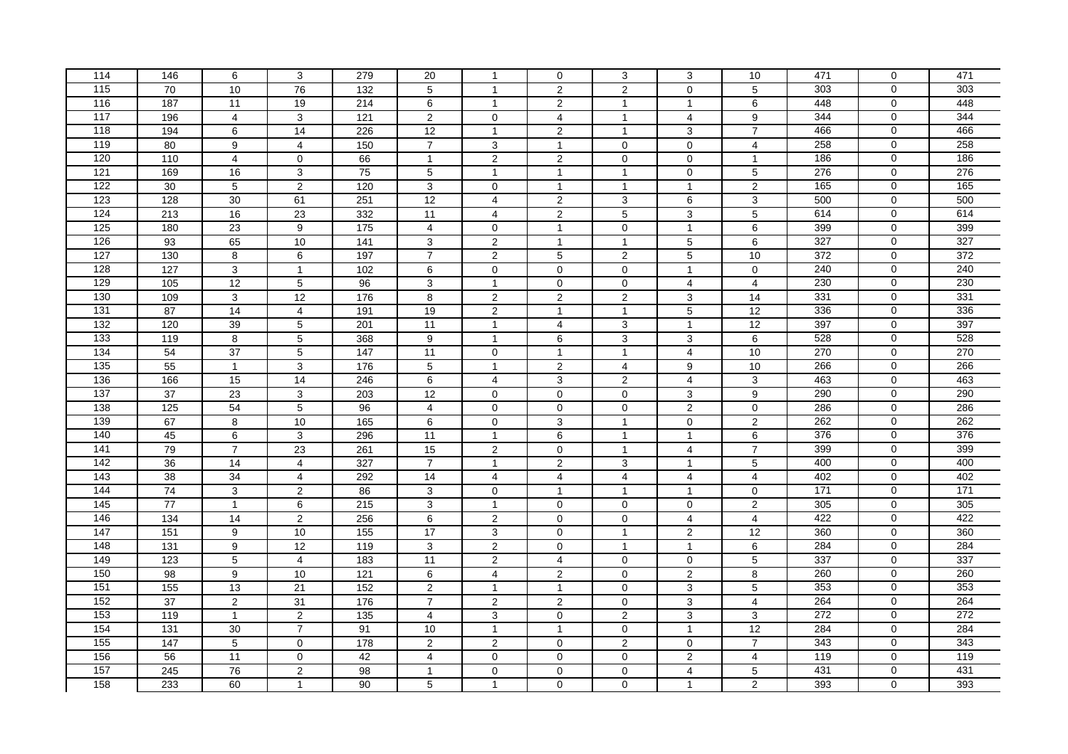| 114               | 146              | 6                       | 3                | 279             | 20               | $\mathbf{1}$        | $\mathbf 0$             | 3              | 3              | 10                      | 471              | $\mathbf 0$    | 471 |
|-------------------|------------------|-------------------------|------------------|-----------------|------------------|---------------------|-------------------------|----------------|----------------|-------------------------|------------------|----------------|-----|
| $115$             | 70               | 10                      | 76               | 132             | 5                | $\overline{1}$      | $\overline{2}$          | $\overline{2}$ | $\mathbf 0$    | $\overline{5}$          | 303              | 0              | 303 |
| $\frac{116}{116}$ | 187              | 11                      | 19               | 214             | 6                | $\mathbf{1}$        | $\mathbf 2$             | $\mathbf{1}$   | $\mathbf{1}$   | 6                       | 448              | 0              | 448 |
| 117               | 196              | $\overline{4}$          | 3                | 121             | 2                | $\mathbf 0$         | $\overline{4}$          | $\mathbf{1}$   | 4              | 9                       | 344              | 0              | 344 |
| 118               | 194              | $\,6\,$                 | $\overline{14}$  | 226             | 12               | $\mathbf{1}$        | $\overline{c}$          | $\mathbf{1}$   | 3              | $\overline{7}$          | 466              | 0              | 466 |
| 119               | 80               | 9                       | $\overline{4}$   | 150             | $\overline{7}$   | 3                   | $\mathbf{1}$            | $\mathbf 0$    | 0              | 4                       | 258              | 0              | 258 |
| 120               | 110              | $\overline{\mathbf{4}}$ | $\mathbf 0$      | 66              | $\overline{1}$   | $\overline{2}$      | $\overline{2}$          | $\mathbf 0$    | 0              | $\mathbf{1}$            | 186              | $\overline{0}$ | 186 |
| 121               | 169              | 16                      | 3                | 75              | $\overline{5}$   | $\mathbf{1}$        | $\mathbf{1}$            | $\mathbf{1}$   | $\pmb{0}$      | $\overline{5}$          | $\overline{276}$ | $\overline{0}$ | 276 |
| 122               | 30               | 5                       | 2                | 120             | 3                | $\mathbf 0$         | $\mathbf{1}$            | $\mathbf{1}$   | $\mathbf{1}$   | $\overline{2}$          | 165              | 0              | 165 |
| 123               | 128              | 30                      | 61               | 251             | 12               | $\overline{4}$      | $\overline{2}$          | 3              | 6              | 3                       | 500              | 0              | 500 |
| 124               | 213              | 16                      | 23               | 332             | 11               | $\overline{4}$      | $\sqrt{2}$              | 5              | 3              | $\sqrt{5}$              | 614              | $\mathbf 0$    | 614 |
| 125               | 180              | $\overline{23}$         | $\boldsymbol{9}$ | $\frac{1}{175}$ | $\overline{4}$   | $\mathbf 0$         | $\mathbf{1}$            | $\mathbf 0$    | $\mathbf{1}$   | $\,6\,$                 | 399              | 0              | 399 |
| 126               | 93               | 65                      | 10               | $\frac{1}{141}$ | 3                | $\overline{2}$      | $\mathbf{1}$            | $\overline{1}$ | 5              | $\,6\,$                 | 327              | 0              | 327 |
| 127               | 130              | 8                       | 6                | 197             | $\overline{7}$   | $\overline{2}$      | $\sqrt{5}$              | $\overline{2}$ | 5              | 10                      | 372              | $\mathbf 0$    | 372 |
| 128               | 127              | $\mathsf 3$             | $\mathbf{1}$     | 102             | 6                | $\mathbf 0$         | 0                       | $\mathbf 0$    | $\mathbf{1}$   | $\mathsf{O}\xspace$     | 240              | 0              | 240 |
| 129               | 105              | 12                      | $\sqrt{5}$       | 96              | $\overline{3}$   | $\mathbf{1}$        | $\pmb{0}$               | $\mathbf 0$    | 4              | $\overline{4}$          | 230              | 0              | 230 |
| 130               | 109              | $\mathsf 3$             | 12               | 176             | 8                | $\overline{2}$      | $\overline{2}$          | $\overline{2}$ | $\overline{3}$ | 14                      | 331              | 0              | 331 |
| 131               | 87               | 14                      | $\overline{4}$   | 191             | 19               | 2                   | $\overline{1}$          | $\mathbf{1}$   | 5              | 12                      | 336              | 0              | 336 |
| 132               | 120              | 39                      | $\sqrt{5}$       | 201             | 11               | $\mathbf{1}$        | $\overline{\mathbf{4}}$ | 3              | $\overline{1}$ | 12                      | 397              | 0              | 397 |
| $\overline{133}$  | 119              | 8                       | $\sqrt{5}$       | 368             | 9                | $\mathbf{1}$        | 6                       | 3              | 3              | 6                       | 528              | 0              | 528 |
| 134               | 54               | 37                      | $5\phantom{.0}$  | 147             | 11               | $\mathsf{O}\xspace$ | 1                       | $\mathbf{1}$   | 4              | 10                      | 270              | $\mathbf 0$    | 270 |
| 135               | 55               | $\mathbf{1}$            | 3                | 176             | 5                | $\mathbf{1}$        | $\overline{2}$          | $\overline{4}$ | 9              | 10                      | 266              | 0              | 266 |
| 136               | 166              | 15                      | 14               | 246             | $6\overline{6}$  | $\overline{4}$      | 3                       | $\overline{2}$ | 4              | 3                       | 463              | 0              | 463 |
| 137               | 37               | 23                      | 3                | 203             | $\overline{12}$  | $\mathbf 0$         | $\pmb{0}$               | $\Omega$       | 3              | 9                       | 290              | $\mathbf 0$    | 290 |
| 138               | 125              | 54                      | $\overline{5}$   | 96              | $\overline{4}$   | $\overline{0}$      | $\overline{0}$          | $\mathbf 0$    | $\overline{2}$ | $\overline{0}$          | 286              | $\overline{0}$ | 286 |
| 139               | 67               | 8                       | 10               | 165             | $\,6\,$          | $\mathbf 0$         | $\mathbf{3}$            | $\overline{1}$ | $\pmb{0}$      | $\sqrt{2}$              | 262              | 0              | 262 |
| 140               | 45               | $\,6\,$                 | 3                | 296             | 11               | $\mathbf{1}$        | 6                       | $\mathbf{1}$   | $\mathbf{1}$   | $\,6\,$                 | 376              | 0              | 376 |
| 141               | 79               | $\overline{7}$          | 23               | 261             | 15               | $\sqrt{2}$          | $\mathbf 0$             | $\mathbf{1}$   | 4              | $\overline{7}$          | 399              | 0              | 399 |
| 142               | $\overline{36}$  | $\overline{14}$         | $\overline{4}$   | 327             | $\overline{7}$   | $\mathbf{1}$        | $\overline{2}$          | 3              | $\overline{1}$ | $\sqrt{5}$              | 400              | 0              | 400 |
| $\frac{143}{2}$   | $\overline{38}$  | 34                      | $\overline{4}$   | 292             | 14               | 4                   | $\overline{4}$          | $\overline{4}$ | $\overline{4}$ | $\overline{4}$          | 402              | 0              | 402 |
| 144               | 74               | $\sqrt{3}$              | $\overline{2}$   | 86              | 3                | $\mathbf 0$         | $\mathbf{1}$            | $\mathbf{1}$   | $\mathbf{1}$   | $\mathbf 0$             | 171              | 0              | 171 |
| 145               | 77               | $\mathbf{1}$            | 6                | 215             | 3                | $\mathbf{1}$        | $\mathbf 0$             | $\mathbf 0$    | $\mathbf 0$    | $\overline{2}$          | 305              | 0              | 305 |
| 146               | 134              | 14                      | $\overline{2}$   | 256             | 6                | $\overline{2}$      | $\pmb{0}$               | $\mathbf 0$    | 4              | $\overline{4}$          | 422              | 0              | 422 |
| 147               | $\overline{151}$ | $\boldsymbol{9}$        | 10               | 155             | 17               | $\sqrt{3}$          | $\pmb{0}$               | $\mathbf{1}$   | $\overline{c}$ | $\overline{12}$         | 360              | 0              | 360 |
| 148               | 131              | 9                       | 12               | 119             | 3                | $\sqrt{2}$          | $\mathbf 0$             | $\mathbf{1}$   | $\mathbf{1}$   | 6                       | 284              | 0              | 284 |
| 149               | 123              | $\overline{5}$          | $\overline{4}$   | $\frac{1}{183}$ | 11               | $\sqrt{2}$          | $\overline{4}$          | $\mathbf 0$    | $\pmb{0}$      | $\sqrt{5}$              | 337              | 0              | 337 |
| 150               | 98               | 9                       | 10               | 121             | 6                | $\overline{4}$      | $\overline{2}$          | $\mathbf 0$    | $\overline{2}$ | $\overline{8}$          | 260              | 0              | 260 |
| 151               | 155              | 13                      | 21               | 152             | $\boldsymbol{2}$ | $\mathbf{1}$        | $\mathbf{1}$            | $\mathbf 0$    | 3              | $\mathbf 5$             | 353              | 0              | 353 |
| 152               | $\overline{37}$  | $\overline{2}$          | 31               | 176             | $\overline{7}$   | $\overline{2}$      | $\overline{2}$          | $\mathbf 0$    | 3              | $\overline{\mathbf{4}}$ | 264              | $\mathbf 0$    | 264 |
| 153               | 119              | $\overline{1}$          | $\overline{2}$   | 135             | $\overline{4}$   | 3                   | $\pmb{0}$               | $\overline{2}$ | $\overline{3}$ | $\overline{3}$          | 272              | $\overline{0}$ | 272 |
| 154               | $\overline{131}$ | 30                      | $\overline{7}$   | 91              | 10               | $\mathbf{1}$        | $\mathbf{1}$            | 0              | $\mathbf{1}$   | $\overline{12}$         | 284              | 0              | 284 |
| 155               | 147              | $\overline{5}$          | $\mathbf 0$      | 178             | $\overline{2}$   | $\overline{2}$      | $\pmb{0}$               | $\overline{2}$ | $\mathbf 0$    | $\overline{7}$          | 343              | $\overline{0}$ | 343 |
| 156               | 56               | $\overline{11}$         | $\mathbf{0}$     | 42              | $\overline{4}$   | $\mathbf 0$         | $\pmb{0}$               | $\mathbf 0$    | $\overline{2}$ | $\overline{4}$          | 119              | 0              | 119 |
| $\overline{157}$  | 245              | 76                      | $\overline{2}$   | 98              | $\mathbf{1}$     | $\mathsf{O}\xspace$ | $\mathbf 0$             | $\mathbf 0$    | 4              | $\sqrt{5}$              | 431              | 0              | 431 |
| 158               | 233              | 60                      | $\mathbf{1}$     | 90              | 5                | $\mathbf{1}$        | $\overline{0}$          | $\Omega$       | $\mathbf{1}$   | $\overline{2}$          | 393              | $\Omega$       | 393 |
|                   |                  |                         |                  |                 |                  |                     |                         |                |                |                         |                  |                |     |